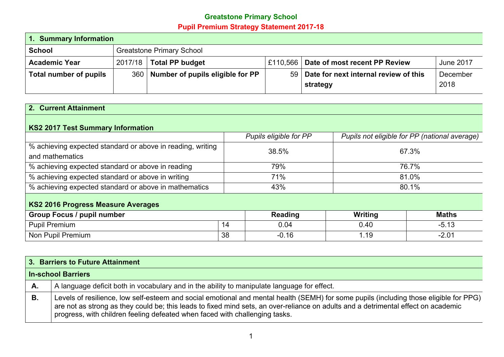## **Greatstone Primary School Pupil Premium Strategy Statement 2017-18**

| 1. Summary Information |                                  |                                                                                 |  |                                          |          |  |  |
|------------------------|----------------------------------|---------------------------------------------------------------------------------|--|------------------------------------------|----------|--|--|
| <b>School</b>          | <b>Greatstone Primary School</b> |                                                                                 |  |                                          |          |  |  |
| <b>Academic Year</b>   | 2017/18                          | <b>Total PP budget</b><br>£110,566   Date of most recent PP Review<br>June 2017 |  |                                          |          |  |  |
| Total number of pupils |                                  | 360   Number of pupils eligible for PP                                          |  | 59 Date for next internal review of this | December |  |  |
|                        |                                  |                                                                                 |  | strategy                                 | 2018     |  |  |

## **2. Current Attainment**

## **KS2 2017 Test Summary Information**

|                                                            |    | Pupils eligible for PP |         | Pupils not eligible for PP (national average) |
|------------------------------------------------------------|----|------------------------|---------|-----------------------------------------------|
| % achieving expected standard or above in reading, writing |    | 38.5%                  |         | 67.3%                                         |
| and mathematics                                            |    |                        |         |                                               |
| % achieving expected standard or above in reading          |    | 79%                    |         | 76.7%                                         |
| % achieving expected standard or above in writing          |    | 71%                    | 81.0%   |                                               |
| % achieving expected standard or above in mathematics      |    | 43%                    | 80.1%   |                                               |
| <b>KS2 2016 Progress Measure Averages</b>                  |    |                        |         |                                               |
| <b>Group Focus / pupil number</b>                          |    | <b>Reading</b>         | Writing | <b>Maths</b>                                  |
| <b>Pupil Premium</b>                                       | 14 | 0.04                   | 0.40    | $-5.13$                                       |

Non Pupil Premium 2.01

|    | 3. Barriers to Future Attainment                                                                                                                                                                                                                                                                                                                            |
|----|-------------------------------------------------------------------------------------------------------------------------------------------------------------------------------------------------------------------------------------------------------------------------------------------------------------------------------------------------------------|
|    | In-school Barriers                                                                                                                                                                                                                                                                                                                                          |
| A. | A language deficit both in vocabulary and in the ability to manipulate language for effect.                                                                                                                                                                                                                                                                 |
| В. | Levels of resilience, low self-esteem and social emotional and mental health (SEMH) for some pupils (including those eligible for PPG)<br>are not as strong as they could be; this leads to fixed mind sets, an over-reliance on adults and a detrimental effect on academic<br>progress, with children feeling defeated when faced with challenging tasks. |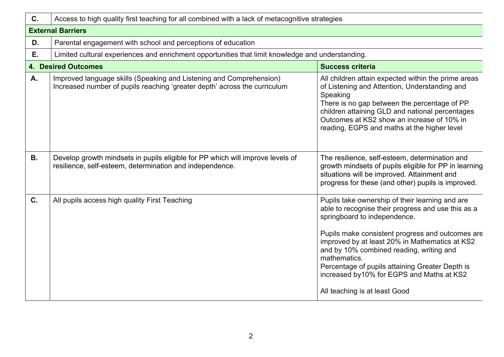| C.        | Access to high quality first teaching for all combined with a lack of metacognitive strategies                                                   |                                                                                                                                                                                                                                                                                                                                                                                                                                           |  |  |  |  |
|-----------|--------------------------------------------------------------------------------------------------------------------------------------------------|-------------------------------------------------------------------------------------------------------------------------------------------------------------------------------------------------------------------------------------------------------------------------------------------------------------------------------------------------------------------------------------------------------------------------------------------|--|--|--|--|
|           | <b>External Barriers</b>                                                                                                                         |                                                                                                                                                                                                                                                                                                                                                                                                                                           |  |  |  |  |
| D.        | Parental engagement with school and perceptions of education                                                                                     |                                                                                                                                                                                                                                                                                                                                                                                                                                           |  |  |  |  |
| Ε.        | Limited cultural experiences and enrichment opportunities that limit knowledge and understanding.                                                |                                                                                                                                                                                                                                                                                                                                                                                                                                           |  |  |  |  |
|           | <b>4. Desired Outcomes</b>                                                                                                                       | <b>Success criteria</b>                                                                                                                                                                                                                                                                                                                                                                                                                   |  |  |  |  |
| A.        | Improved language skills (Speaking and Listening and Comprehension)<br>Increased number of pupils reaching 'greater depth' across the curriculum | All children attain expected within the prime areas<br>of Listening and Attention, Understanding and<br>Speaking<br>There is no gap between the percentage of PP<br>children attaining GLD and national percentages<br>Outcomes at KS2 show an increase of 10% in<br>reading, EGPS and maths at the higher level                                                                                                                          |  |  |  |  |
| <b>B.</b> | Develop growth mindsets in pupils eligible for PP which will improve levels of<br>resilience, self-esteem, determination and independence.       | The resilience, self-esteem, determination and<br>growth mindsets of pupils eligible for PP in learning<br>situations will be improved. Attainment and<br>progress for these (and other) pupils is improved.                                                                                                                                                                                                                              |  |  |  |  |
| C.        | All pupils access high quality First Teaching                                                                                                    | Pupils take ownership of their learning and are<br>able to recognise their progress and use this as a<br>springboard to independence.<br>Pupils make consistent progress and outcomes are<br>improved by at least 20% in Mathematics at KS2<br>and by 10% combined reading, writing and<br>mathematics.<br>Percentage of pupils attaining Greater Depth is<br>increased by 10% for EGPS and Maths at KS2<br>All teaching is at least Good |  |  |  |  |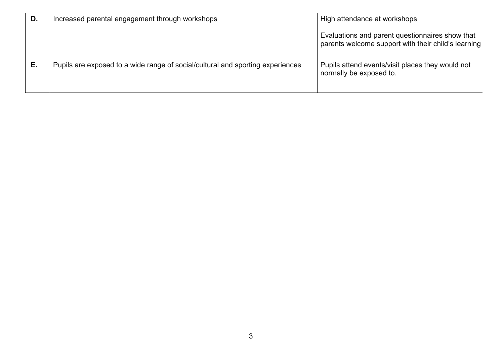| D. | Increased parental engagement through workshops                                | High attendance at workshops                                                                           |
|----|--------------------------------------------------------------------------------|--------------------------------------------------------------------------------------------------------|
|    |                                                                                | Evaluations and parent questionnaires show that<br>parents welcome support with their child's learning |
|    | Pupils are exposed to a wide range of social/cultural and sporting experiences | Pupils attend events/visit places they would not<br>normally be exposed to.                            |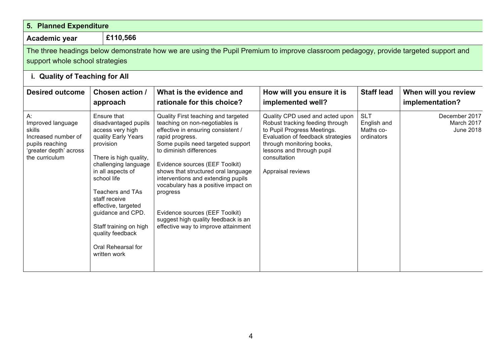| 5. Planned Expenditure                                                                                                  |                                                                                                                                                                                                                                                                                                                                                               |                                                                                                                                                                                                                                                                                                                                                                                                                                                                                  |                                                                                                                                                                                                                                       |                                                      |                                                 |
|-------------------------------------------------------------------------------------------------------------------------|---------------------------------------------------------------------------------------------------------------------------------------------------------------------------------------------------------------------------------------------------------------------------------------------------------------------------------------------------------------|----------------------------------------------------------------------------------------------------------------------------------------------------------------------------------------------------------------------------------------------------------------------------------------------------------------------------------------------------------------------------------------------------------------------------------------------------------------------------------|---------------------------------------------------------------------------------------------------------------------------------------------------------------------------------------------------------------------------------------|------------------------------------------------------|-------------------------------------------------|
| Academic year                                                                                                           | £110,566                                                                                                                                                                                                                                                                                                                                                      |                                                                                                                                                                                                                                                                                                                                                                                                                                                                                  |                                                                                                                                                                                                                                       |                                                      |                                                 |
| support whole school strategies                                                                                         |                                                                                                                                                                                                                                                                                                                                                               | The three headings below demonstrate how we are using the Pupil Premium to improve classroom pedagogy, provide targeted support and                                                                                                                                                                                                                                                                                                                                              |                                                                                                                                                                                                                                       |                                                      |                                                 |
| i. Quality of Teaching for All                                                                                          |                                                                                                                                                                                                                                                                                                                                                               |                                                                                                                                                                                                                                                                                                                                                                                                                                                                                  |                                                                                                                                                                                                                                       |                                                      |                                                 |
| <b>Desired outcome</b>                                                                                                  | Chosen action /<br>approach                                                                                                                                                                                                                                                                                                                                   | What is the evidence and<br>rationale for this choice?                                                                                                                                                                                                                                                                                                                                                                                                                           | How will you ensure it is<br>implemented well?                                                                                                                                                                                        | <b>Staff lead</b>                                    | When will you review<br>implementation?         |
| A:<br>Improved language<br>skills<br>Increased number of<br>pupils reaching<br>'greater depth' across<br>the curriculum | Ensure that<br>disadvantaged pupils<br>access very high<br>quality Early Years<br>provision<br>There is high quality,<br>challenging language<br>in all aspects of<br>school life<br><b>Teachers and TAs</b><br>staff receive<br>effective, targeted<br>guidance and CPD.<br>Staff training on high<br>quality feedback<br>Oral Rehearsal for<br>written work | Quality First teaching and targeted<br>teaching on non-negotiables is<br>effective in ensuring consistent /<br>rapid progress.<br>Some pupils need targeted support<br>to diminish differences<br>Evidence sources (EEF Toolkit)<br>shows that structured oral language<br>interventions and extending pupils<br>vocabulary has a positive impact on<br>progress<br>Evidence sources (EEF Toolkit)<br>suggest high quality feedback is an<br>effective way to improve attainment | Quality CPD used and acted upon<br>Robust tracking feeding through<br>to Pupil Progress Meetings.<br>Evaluation of feedback strategies<br>through monitoring books,<br>lessons and through pupil<br>consultation<br>Appraisal reviews | <b>SLT</b><br>English and<br>Maths co-<br>ordinators | December 2017<br>March 2017<br><b>June 2018</b> |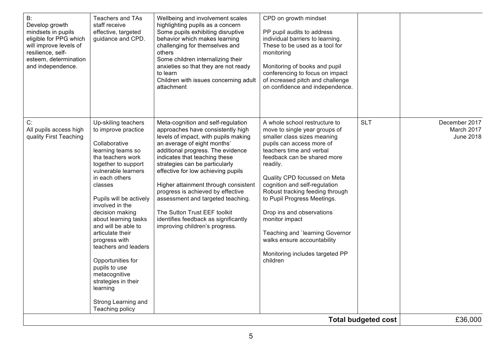| highlighting pupils as a concern<br>Develop growth<br>mindsets in pupils<br>effective, targeted<br>Some pupils exhibiting disruptive<br>guidance and CPD.<br>eligible for PPG which<br>behavior which makes learning<br>will improve levels of<br>challenging for themselves and<br>resilience, self-<br>others<br>esteem, determination<br>Some children internalizing their<br>and independence.<br>anxieties so that they are not ready<br>to learn<br>Children with issues concerning adult<br>attachment                                                                                                                                                                                                                                                                                                                                                                                                                                                                                                                                                                           | individual barriers to learning.<br>These to be used as a tool for<br>monitoring<br>Monitoring of books and pupil<br>conferencing to focus on impact<br>of increased pitch and challenge<br>on confidence and independence.                                                                                                                                                                                                                                                                                                                      |                                                            |
|-----------------------------------------------------------------------------------------------------------------------------------------------------------------------------------------------------------------------------------------------------------------------------------------------------------------------------------------------------------------------------------------------------------------------------------------------------------------------------------------------------------------------------------------------------------------------------------------------------------------------------------------------------------------------------------------------------------------------------------------------------------------------------------------------------------------------------------------------------------------------------------------------------------------------------------------------------------------------------------------------------------------------------------------------------------------------------------------|--------------------------------------------------------------------------------------------------------------------------------------------------------------------------------------------------------------------------------------------------------------------------------------------------------------------------------------------------------------------------------------------------------------------------------------------------------------------------------------------------------------------------------------------------|------------------------------------------------------------|
| C:<br>Up-skiling teachers<br>Meta-cognition and self-regulation<br>to improve practice<br>approaches have consistently high<br>All pupils access high<br>quality First Teaching<br>levels of impact, with pupils making<br>an average of eight months'<br>Collaborative<br>additional progress. The evidence<br>learning teams so<br>indicates that teaching these<br>tha teachers work<br>strategies can be particularly<br>together to support<br>vulnerable learners<br>effective for low achieving pupils<br>in each others<br>Higher attainment through consistent<br>classes<br>progress is achieved by effective<br>Pupils will be actively<br>assessment and targeted teaching.<br>involved in the<br>The Sutton Trust EEF toolkit<br>decision making<br>about learning tasks<br>identifies feedback as significantly<br>and will be able to<br>improving children's progress.<br>articulate their<br>progress with<br>teachers and leaders<br>Opportunities for<br>pupils to use<br>metacognitive<br>strategies in their<br>learning<br>Strong Learning and<br>Teaching policy | <b>SLT</b><br>A whole school restructure to<br>move to single year groups of<br>smaller class sizes meaning<br>pupils can access more of<br>teachers time and verbal<br>feedback can be shared more<br>readily.<br>Quality CPD focussed on Meta<br>cognition and self-regulation<br>Robust tracking feeding through<br>to Pupil Progress Meetings.<br>Drop ins and observations<br>monitor impact<br>Teaching and `learning Governor<br>walks ensure accountability<br>Monitoring includes targeted PP<br>children<br><b>Total budgeted cost</b> | December 2017<br>March 2017<br><b>June 2018</b><br>£36,000 |
|                                                                                                                                                                                                                                                                                                                                                                                                                                                                                                                                                                                                                                                                                                                                                                                                                                                                                                                                                                                                                                                                                         |                                                                                                                                                                                                                                                                                                                                                                                                                                                                                                                                                  |                                                            |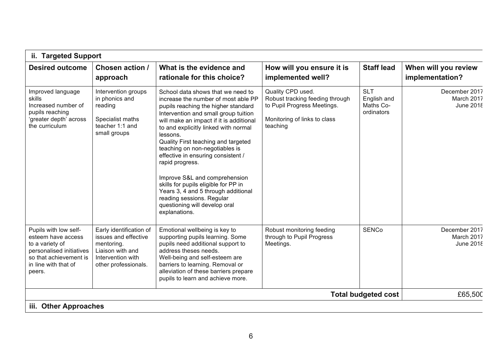|                                                                                                                                                        | ii. Targeted Support                                                                                                           |                                                                                                                                                                                                                                                                                                                                                                                                                                                                                                                                                                                         |                                                                                                                                 |                                                      |                                          |  |  |
|--------------------------------------------------------------------------------------------------------------------------------------------------------|--------------------------------------------------------------------------------------------------------------------------------|-----------------------------------------------------------------------------------------------------------------------------------------------------------------------------------------------------------------------------------------------------------------------------------------------------------------------------------------------------------------------------------------------------------------------------------------------------------------------------------------------------------------------------------------------------------------------------------------|---------------------------------------------------------------------------------------------------------------------------------|------------------------------------------------------|------------------------------------------|--|--|
| <b>Desired outcome</b>                                                                                                                                 | Chosen action /<br>approach                                                                                                    | What is the evidence and<br>rationale for this choice?                                                                                                                                                                                                                                                                                                                                                                                                                                                                                                                                  | How will you ensure it is<br>implemented well?                                                                                  | <b>Staff lead</b>                                    | When will you review<br>implementation?  |  |  |
| Improved language<br>skills<br>Increased number of<br>pupils reaching<br>'greater depth' across<br>the curriculum                                      | Intervention groups<br>in phonics and<br>reading<br>Specialist maths<br>teacher 1:1 and<br>small groups                        | School data shows that we need to<br>increase the number of most able PP<br>pupils reaching the higher standard<br>Intervention and small group tuition<br>will make an impact if it is additional<br>to and explicitly linked with normal<br>lessons.<br>Quality First teaching and targeted<br>teaching on non-negotiables is<br>effective in ensuring consistent /<br>rapid progress.<br>Improve S&L and comprehension<br>skills for pupils eligible for PP in<br>Years 3, 4 and 5 through additional<br>reading sessions. Regular<br>questioning will develop oral<br>explanations. | Quality CPD used.<br>Robust tracking feeding through<br>to Pupil Progress Meetings.<br>Monitoring of links to class<br>teaching | <b>SLT</b><br>English and<br>Maths Co-<br>ordinators | December 2017<br>March 2017<br>June 2018 |  |  |
| Pupils with low self-<br>esteem have access<br>to a variety of<br>personalised initiatives<br>so that achievement is<br>in line with that of<br>peers. | Early identification of<br>issues and effective<br>mentoring.<br>Liaison with and<br>Intervention with<br>other professionals. | Emotional wellbeing is key to<br>supporting pupils learning. Some<br>pupils need additional support to<br>address theses needs.<br>Well-being and self-esteem are<br>barriers to learning. Removal or<br>alleviation of these barriers prepare<br>pupils to learn and achieve more.                                                                                                                                                                                                                                                                                                     | Robust monitoring feeding<br>through to Pupil Progress<br>Meetings.                                                             | <b>SENCo</b>                                         | December 2017<br>March 2017<br>June 2018 |  |  |
|                                                                                                                                                        |                                                                                                                                |                                                                                                                                                                                                                                                                                                                                                                                                                                                                                                                                                                                         |                                                                                                                                 | <b>Total budgeted cost</b>                           | £65,500                                  |  |  |
| iii. Other Approaches                                                                                                                                  |                                                                                                                                |                                                                                                                                                                                                                                                                                                                                                                                                                                                                                                                                                                                         |                                                                                                                                 |                                                      |                                          |  |  |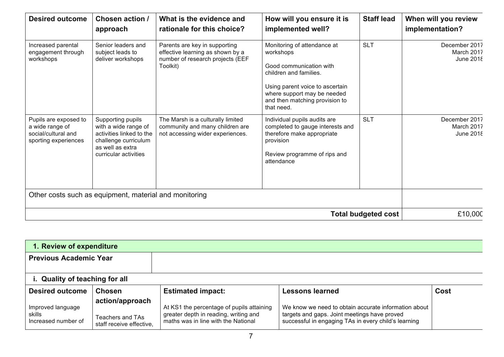| <b>Desired outcome</b>                                                                  | Chosen action /<br>approach                                                                                                                | What is the evidence and<br>rationale for this choice?                                                            | How will you ensure it is<br>implemented well?                                                                                                                                                                  | <b>Staff lead</b>          | When will you review<br>implementation?  |
|-----------------------------------------------------------------------------------------|--------------------------------------------------------------------------------------------------------------------------------------------|-------------------------------------------------------------------------------------------------------------------|-----------------------------------------------------------------------------------------------------------------------------------------------------------------------------------------------------------------|----------------------------|------------------------------------------|
| Increased parental<br>engagement through<br>workshops                                   | Senior leaders and<br>subject leads to<br>deliver workshops                                                                                | Parents are key in supporting<br>effective learning as shown by a<br>number of research projects (EEF<br>Toolkit) | Monitoring of attendance at<br>workshops<br>Good communication with<br>children and families.<br>Using parent voice to ascertain<br>where support may be needed<br>and then matching provision to<br>that need. | <b>SLT</b>                 | December 2017<br>March 2017<br>June 2018 |
| Pupils are exposed to<br>a wide range of<br>social/cultural and<br>sporting experiences | Supporting pupils<br>with a wide range of<br>activities linked to the<br>challenge curriculum<br>as well as extra<br>curricular activities | The Marsh is a culturally limited<br>community and many children are<br>not accessing wider experiences.          | Individual pupils audits are<br>completed to gauge interests and<br>therefore make appropriate<br>provision<br>Review programme of rips and<br>attendance                                                       | <b>SLT</b>                 | December 2017<br>March 2017<br>June 2018 |
|                                                                                         | Other costs such as equipment, material and monitoring                                                                                     |                                                                                                                   |                                                                                                                                                                                                                 |                            |                                          |
|                                                                                         |                                                                                                                                            |                                                                                                                   |                                                                                                                                                                                                                 | <b>Total budgeted cost</b> | £10,000                                  |

| 1. Review of expenditure                           |                                                                 |                                                                                                                           |                                                                                                                                                              |      |  |  |  |
|----------------------------------------------------|-----------------------------------------------------------------|---------------------------------------------------------------------------------------------------------------------------|--------------------------------------------------------------------------------------------------------------------------------------------------------------|------|--|--|--|
| <b>Previous Academic Year</b>                      |                                                                 |                                                                                                                           |                                                                                                                                                              |      |  |  |  |
| i. Quality of teaching for all                     |                                                                 |                                                                                                                           |                                                                                                                                                              |      |  |  |  |
| <b>Desired outcome</b>                             | <b>Chosen</b>                                                   | <b>Estimated impact:</b>                                                                                                  | <b>Lessons learned</b>                                                                                                                                       | Cost |  |  |  |
| Improved language<br>skills<br>Increased number of | action/approach<br>Teachers and TAs<br>staff receive effective, | At KS1 the percentage of pupils attaining<br>greater depth in reading, writing and<br>maths was in line with the National | We know we need to obtain accurate information about<br>targets and gaps. Joint meetings have proved<br>successful in engaging TAs in every child's learning |      |  |  |  |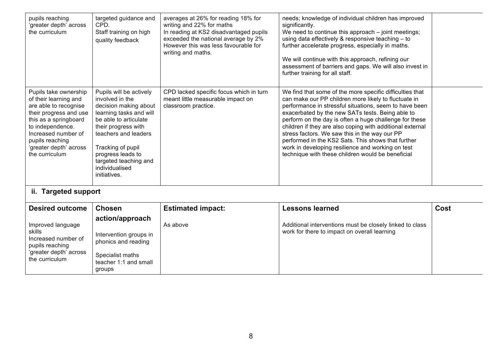| pupils reaching<br>'greater depth' across<br>the curriculum                                                                                                                                                                          | targeted guidance and<br>CPD.<br>Staff training on high<br>quality feedback                                                                                                                                                                                                 | averages at 26% for reading 18% for<br>writing and 22% for maths<br>In reading at KS2 disadvantaged pupils<br>exceeded the national average by 2%<br>However this was less favourable for<br>writing and maths. | needs; knowledge of individual children has improved<br>significantly.<br>We need to continue this approach - joint meetings;<br>using data effectively & responsive teaching - to<br>further accelerate progress, especially in maths.<br>We will continue with this approach, refining our<br>assessment of barriers and gaps. We will also invest in<br>further training for all staff.                                                                                                                                                                             |  |
|--------------------------------------------------------------------------------------------------------------------------------------------------------------------------------------------------------------------------------------|-----------------------------------------------------------------------------------------------------------------------------------------------------------------------------------------------------------------------------------------------------------------------------|-----------------------------------------------------------------------------------------------------------------------------------------------------------------------------------------------------------------|------------------------------------------------------------------------------------------------------------------------------------------------------------------------------------------------------------------------------------------------------------------------------------------------------------------------------------------------------------------------------------------------------------------------------------------------------------------------------------------------------------------------------------------------------------------------|--|
| Pupils take ownership<br>of their learning and<br>are able to recognise<br>their progress and use<br>this as a springboard<br>to independence.<br>Increased number of<br>pupils reaching<br>'greater depth' across<br>the curriculum | Pupils will be actively<br>involved in the<br>decision making about<br>learning tasks and will<br>be able to articulate<br>their progress with<br>teachers and leaders<br>Tracking of pupil<br>progress leads to<br>targeted teaching and<br>individualised<br>initiatives. | CPD lacked specific focus which in turn<br>meant little measurable impact on<br>classroom practice.                                                                                                             | We find that some of the more specific difficulties that<br>can make our PP children more likely to fluctuate in<br>performance in stressful situations, seem to have been<br>exacerbated by the new SATs tests. Being able to<br>perform on the day is often a huge challenge for these<br>children if they are also coping with additional external<br>stress factors. We saw this in the way our PP<br>performed in the KS2 Sats. This shows that further<br>work in developing resilience and working on test<br>technique with these children would be beneficial |  |
| ii. Targeted support                                                                                                                                                                                                                 |                                                                                                                                                                                                                                                                             |                                                                                                                                                                                                                 |                                                                                                                                                                                                                                                                                                                                                                                                                                                                                                                                                                        |  |

| <b>Desired outcome</b>                                                                                            | <b>Chosen</b>                                                                                                           | <b>Estimated impact:</b> | <b>Lessons learned</b>                                                                                   | Cost |
|-------------------------------------------------------------------------------------------------------------------|-------------------------------------------------------------------------------------------------------------------------|--------------------------|----------------------------------------------------------------------------------------------------------|------|
| Improved language<br>skills<br>Increased number of<br>pupils reaching<br>'greater depth' across<br>the curriculum | action/approach<br>Intervention groups in<br>phonics and reading<br>Specialist maths<br>teacher 1:1 and small<br>groups | As above                 | Additional interventions must be closely linked to class<br>work for there to impact on overall learning |      |